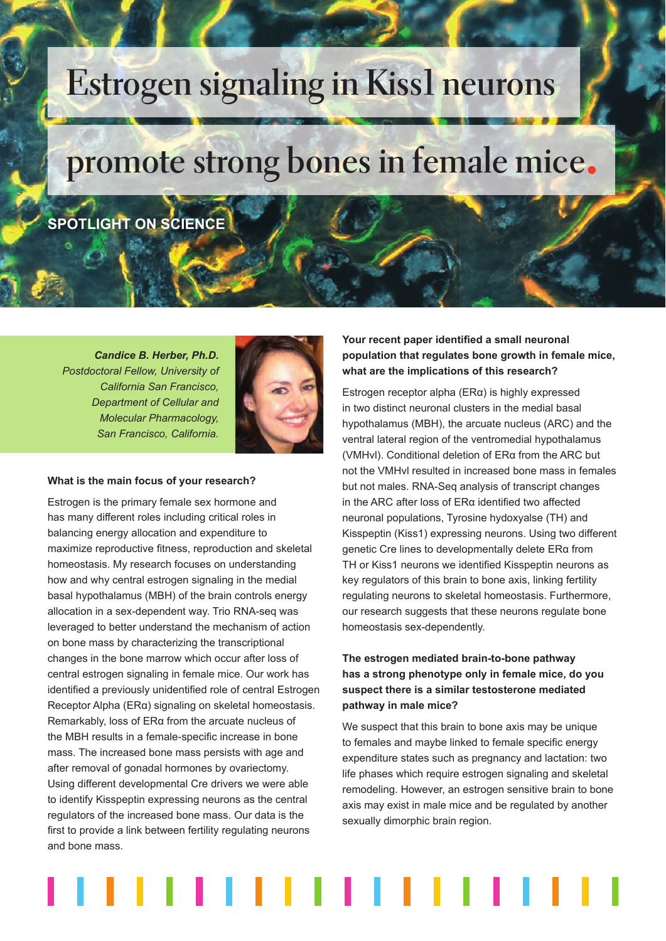# **Estrogen signaling in Kiss1 neurons**

## **promote strong bones in female mice**

### **SPOTLIGHT ON SCIENCE**

*Candice B. Herber, Ph.D. Postdoctoral Fellow, University of California San Francisco, Department of Cellular and Molecular Pharmacology, San Francisco, California.*



#### **What is the main focus of your research?**

Estrogen is the primary female sex hormone and has many different roles including critical roles in balancing energy allocation and expenditure to maximize reproductive fitness, reproduction and skeletal homeostasis. My research focuses on understanding how and why central estrogen signaling in the medial basal hypothalamus (MBH) of the brain controls energy allocation in a sex-dependent way. Trio RNA-seq was leveraged to better understand the mechanism of action on bone mass by characterizing the transcriptional changes in the bone marrow which occur after loss of central estrogen signaling in female mice. Our work has identified a previously unidentified role of central Estrogen Receptor Alpha (ERα) signaling on skeletal homeostasis. Remarkably, loss of ERα from the arcuate nucleus of the MBH results in a female-specific increase in bone mass. The increased bone mass persists with age and after removal of gonadal hormones by ovariectomy. Using different developmental Cre drivers we were able to identify Kisspeptin expressing neurons as the central regulators of the increased bone mass. Our data is the first to provide a link between fertility regulating neurons and bone mass.

Your recent paper identified a small neuronal **population that regulates bone growth in female mice, what are the implications of this research?**

Estrogen receptor alpha (ERα) is highly expressed in two distinct neuronal clusters in the medial basal hypothalamus (MBH), the arcuate nucleus (ARC) and the ventral lateral region of the ventromedial hypothalamus (VMHvl). Conditional deletion of ERα from the ARC but not the VMHvl resulted in increased bone mass in females but not males. RNA-Seq analysis of transcript changes in the ARC after loss of  $ER\alpha$  identified two affected neuronal populations, Tyrosine hydoxyalse (TH) and Kisspeptin (Kiss1) expressing neurons. Using two different genetic Cre lines to developmentally delete ERα from TH or Kiss1 neurons we identified Kisspeptin neurons as key regulators of this brain to bone axis, linking fertility regulating neurons to skeletal homeostasis. Furthermore, our research suggests that these neurons regulate bone homeostasis sex-dependently.

#### **The estrogen mediated brain-to-bone pathway has a strong phenotype only in female mice, do you suspect there is a similar testosterone mediated pathway in male mice?**

We suspect that this brain to bone axis may be unique to females and maybe linked to female specific energy expenditure states such as pregnancy and lactation: two life phases which require estrogen signaling and skeletal remodeling. However, an estrogen sensitive brain to bone axis may exist in male mice and be regulated by another sexually dimorphic brain region.